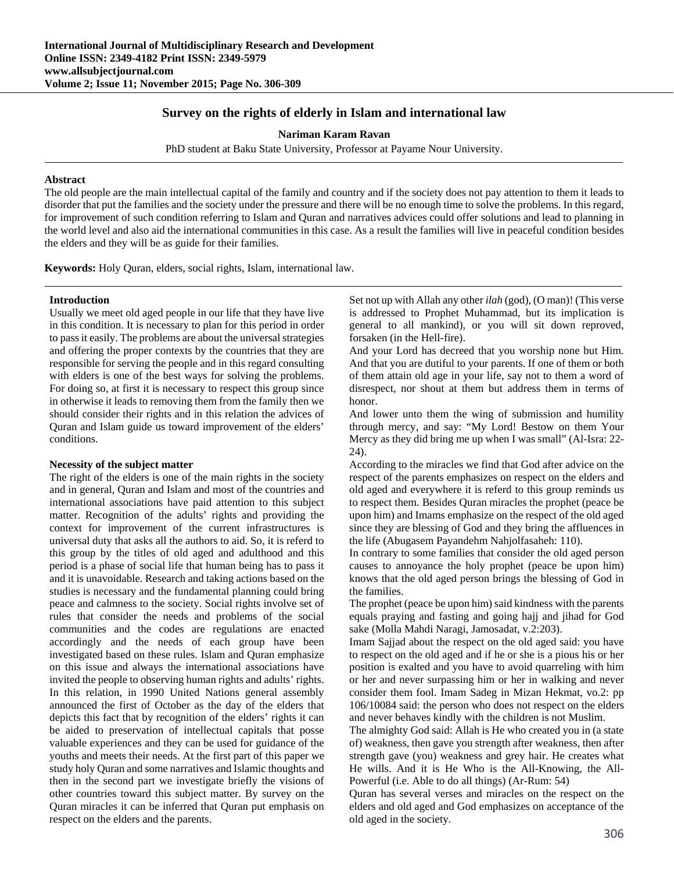# **Survey on the rights of elderly in Islam and international law**

**Nariman Karam Ravan** 

PhD student at Baku State University, Professor at Payame Nour University.

# **Abstract**

The old people are the main intellectual capital of the family and country and if the society does not pay attention to them it leads to disorder that put the families and the society under the pressure and there will be no enough time to solve the problems. In this regard, for improvement of such condition referring to Islam and Quran and narratives advices could offer solutions and lead to planning in the world level and also aid the international communities in this case. As a result the families will live in peaceful condition besides the elders and they will be as guide for their families.

**Keywords:** Holy Quran, elders, social rights, Islam, international law.

# **Introduction**

Usually we meet old aged people in our life that they have live in this condition. It is necessary to plan for this period in order to pass it easily. The problems are about the universal strategies and offering the proper contexts by the countries that they are responsible for serving the people and in this regard consulting with elders is one of the best ways for solving the problems. For doing so, at first it is necessary to respect this group since in otherwise it leads to removing them from the family then we should consider their rights and in this relation the advices of Quran and Islam guide us toward improvement of the elders' conditions.

# **Necessity of the subject matter**

The right of the elders is one of the main rights in the society and in general, Quran and Islam and most of the countries and international associations have paid attention to this subject matter. Recognition of the adults' rights and providing the context for improvement of the current infrastructures is universal duty that asks all the authors to aid. So, it is referd to this group by the titles of old aged and adulthood and this period is a phase of social life that human being has to pass it and it is unavoidable. Research and taking actions based on the studies is necessary and the fundamental planning could bring peace and calmness to the society. Social rights involve set of rules that consider the needs and problems of the social communities and the codes are regulations are enacted accordingly and the needs of each group have been investigated based on these rules. Islam and Quran emphasize on this issue and always the international associations have invited the people to observing human rights and adults' rights. In this relation, in 1990 United Nations general assembly announced the first of October as the day of the elders that depicts this fact that by recognition of the elders' rights it can be aided to preservation of intellectual capitals that posse valuable experiences and they can be used for guidance of the youths and meets their needs. At the first part of this paper we study holy Quran and some narratives and Islamic thoughts and then in the second part we investigate briefly the visions of other countries toward this subject matter. By survey on the Quran miracles it can be inferred that Quran put emphasis on respect on the elders and the parents.

Set not up with Allah any other *ilah* (god), (O man)! (This verse is addressed to Prophet Muhammad, but its implication is general to all mankind), or you will sit down reproved, forsaken (in the Hell-fire).

And your Lord has decreed that you worship none but Him. And that you are dutiful to your parents. If one of them or both of them attain old age in your life, say not to them a word of disrespect, nor shout at them but address them in terms of honor.

And lower unto them the wing of submission and humility through mercy, and say: "My Lord! Bestow on them Your Mercy as they did bring me up when I was small" (Al-Isra: 22- 24).

According to the miracles we find that God after advice on the respect of the parents emphasizes on respect on the elders and old aged and everywhere it is referd to this group reminds us to respect them. Besides Quran miracles the prophet (peace be upon him) and Imams emphasize on the respect of the old aged since they are blessing of God and they bring the affluences in the life (Abugasem Payandehm Nahjolfasaheh: 110).

In contrary to some families that consider the old aged person causes to annoyance the holy prophet (peace be upon him) knows that the old aged person brings the blessing of God in the families.

The prophet (peace be upon him) said kindness with the parents equals praying and fasting and going hajj and jihad for God sake (Molla Mahdi Naragi, Jamosadat, v.2:203).

Imam Sajjad about the respect on the old aged said: you have to respect on the old aged and if he or she is a pious his or her position is exalted and you have to avoid quarreling with him or her and never surpassing him or her in walking and never consider them fool. Imam Sadeg in Mizan Hekmat, vo.2: pp 106/10084 said: the person who does not respect on the elders and never behaves kindly with the children is not Muslim.

The almighty God said: Allah is He who created you in (a state of) weakness, then gave you strength after weakness, then after strength gave (you) weakness and grey hair. He creates what He wills. And it is He Who is the All-Knowing, the All-Powerful (i.e. Able to do all things) (Ar-Rum: 54)

Quran has several verses and miracles on the respect on the elders and old aged and God emphasizes on acceptance of the old aged in the society.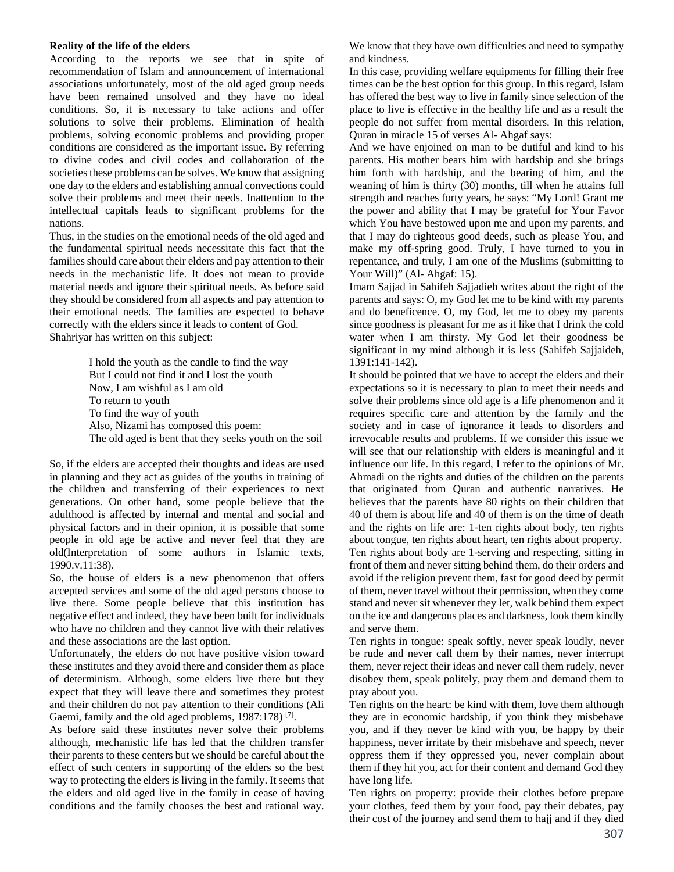# **Reality of the life of the elders**

According to the reports we see that in spite of recommendation of Islam and announcement of international associations unfortunately, most of the old aged group needs have been remained unsolved and they have no ideal conditions. So, it is necessary to take actions and offer solutions to solve their problems. Elimination of health problems, solving economic problems and providing proper conditions are considered as the important issue. By referring to divine codes and civil codes and collaboration of the societies these problems can be solves. We know that assigning one day to the elders and establishing annual convections could solve their problems and meet their needs. Inattention to the intellectual capitals leads to significant problems for the nations.

Thus, in the studies on the emotional needs of the old aged and the fundamental spiritual needs necessitate this fact that the families should care about their elders and pay attention to their needs in the mechanistic life. It does not mean to provide material needs and ignore their spiritual needs. As before said they should be considered from all aspects and pay attention to their emotional needs. The families are expected to behave correctly with the elders since it leads to content of God. Shahriyar has written on this subject:

> I hold the youth as the candle to find the way But I could not find it and I lost the youth Now, I am wishful as I am old To return to youth To find the way of youth Also, Nizami has composed this poem: The old aged is bent that they seeks youth on the soil

So, if the elders are accepted their thoughts and ideas are used in planning and they act as guides of the youths in training of the children and transferring of their experiences to next generations. On other hand, some people believe that the adulthood is affected by internal and mental and social and physical factors and in their opinion, it is possible that some people in old age be active and never feel that they are old(Interpretation of some authors in Islamic texts, 1990.v.11:38).

So, the house of elders is a new phenomenon that offers accepted services and some of the old aged persons choose to live there. Some people believe that this institution has negative effect and indeed, they have been built for individuals who have no children and they cannot live with their relatives and these associations are the last option.

Unfortunately, the elders do not have positive vision toward these institutes and they avoid there and consider them as place of determinism. Although, some elders live there but they expect that they will leave there and sometimes they protest and their children do not pay attention to their conditions (Ali Gaemi, family and the old aged problems,  $1987:178$ )<sup>[7]</sup>.

As before said these institutes never solve their problems although, mechanistic life has led that the children transfer their parents to these centers but we should be careful about the effect of such centers in supporting of the elders so the best way to protecting the elders is living in the family. It seems that the elders and old aged live in the family in cease of having conditions and the family chooses the best and rational way. We know that they have own difficulties and need to sympathy and kindness.

In this case, providing welfare equipments for filling their free times can be the best option for this group. In this regard, Islam has offered the best way to live in family since selection of the place to live is effective in the healthy life and as a result the people do not suffer from mental disorders. In this relation, Quran in miracle 15 of verses Al- Ahgaf says:

And we have enjoined on man to be dutiful and kind to his parents. His mother bears him with hardship and she brings him forth with hardship, and the bearing of him, and the weaning of him is thirty (30) months, till when he attains full strength and reaches forty years, he says: "My Lord! Grant me the power and ability that I may be grateful for Your Favor which You have bestowed upon me and upon my parents, and that I may do righteous good deeds, such as please You, and make my off-spring good. Truly, I have turned to you in repentance, and truly, I am one of the Muslims (submitting to Your Will)" (Al- Ahgaf: 15).

Imam Sajjad in Sahifeh Sajjadieh writes about the right of the parents and says: O, my God let me to be kind with my parents and do beneficence. O, my God, let me to obey my parents since goodness is pleasant for me as it like that I drink the cold water when I am thirsty. My God let their goodness be significant in my mind although it is less (Sahifeh Sajjaideh, 1391:141-142).

It should be pointed that we have to accept the elders and their expectations so it is necessary to plan to meet their needs and solve their problems since old age is a life phenomenon and it requires specific care and attention by the family and the society and in case of ignorance it leads to disorders and irrevocable results and problems. If we consider this issue we will see that our relationship with elders is meaningful and it influence our life. In this regard, I refer to the opinions of Mr. Ahmadi on the rights and duties of the children on the parents that originated from Quran and authentic narratives. He believes that the parents have 80 rights on their children that 40 of them is about life and 40 of them is on the time of death and the rights on life are: 1-ten rights about body, ten rights about tongue, ten rights about heart, ten rights about property. Ten rights about body are 1-serving and respecting, sitting in front of them and never sitting behind them, do their orders and avoid if the religion prevent them, fast for good deed by permit of them, never travel without their permission, when they come stand and never sit whenever they let, walk behind them expect on the ice and dangerous places and darkness, look them kindly and serve them.

Ten rights in tongue: speak softly, never speak loudly, never be rude and never call them by their names, never interrupt them, never reject their ideas and never call them rudely, never disobey them, speak politely, pray them and demand them to pray about you.

Ten rights on the heart: be kind with them, love them although they are in economic hardship, if you think they misbehave you, and if they never be kind with you, be happy by their happiness, never irritate by their misbehave and speech, never oppress them if they oppressed you, never complain about them if they hit you, act for their content and demand God they have long life.

Ten rights on property: provide their clothes before prepare your clothes, feed them by your food, pay their debates, pay their cost of the journey and send them to hajj and if they died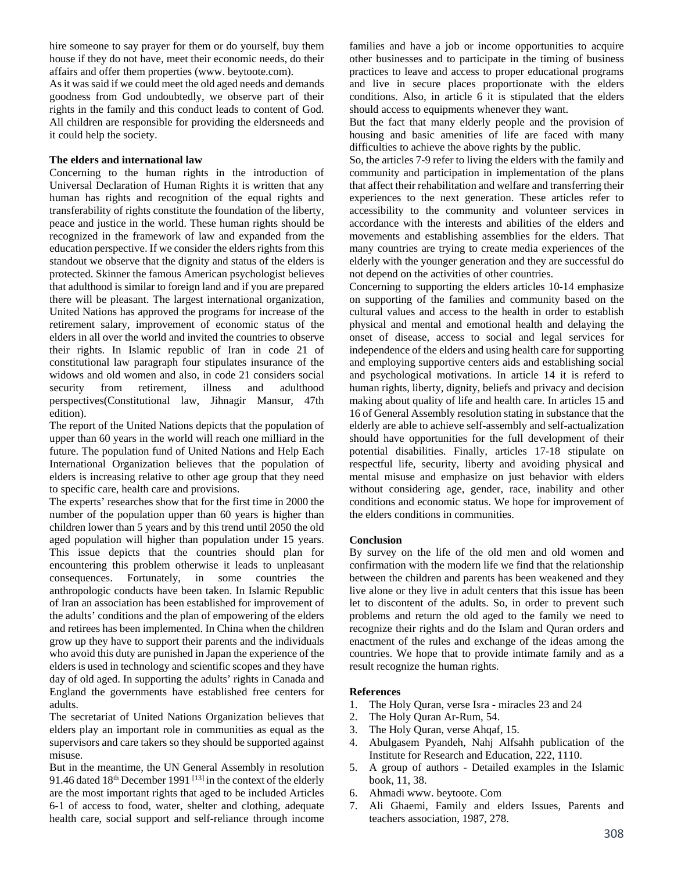hire someone to say prayer for them or do yourself, buy them house if they do not have, meet their economic needs, do their affairs and offer them properties (www. beytoote.com).

As it was said if we could meet the old aged needs and demands goodness from God undoubtedly, we observe part of their rights in the family and this conduct leads to content of God. All children are responsible for providing the eldersneeds and it could help the society.

# **The elders and international law**

Concerning to the human rights in the introduction of Universal Declaration of Human Rights it is written that any human has rights and recognition of the equal rights and transferability of rights constitute the foundation of the liberty, peace and justice in the world. These human rights should be recognized in the framework of law and expanded from the education perspective. If we consider the elders rights from this standout we observe that the dignity and status of the elders is protected. Skinner the famous American psychologist believes that adulthood is similar to foreign land and if you are prepared there will be pleasant. The largest international organization, United Nations has approved the programs for increase of the retirement salary, improvement of economic status of the elders in all over the world and invited the countries to observe their rights. In Islamic republic of Iran in code 21 of constitutional law paragraph four stipulates insurance of the widows and old women and also, in code 21 considers social security from retirement, illness and adulthood security from retirement, illness and perspectives(Constitutional law, Jihnagir Mansur, 47th edition).

The report of the United Nations depicts that the population of upper than 60 years in the world will reach one milliard in the future. The population fund of United Nations and Help Each International Organization believes that the population of elders is increasing relative to other age group that they need to specific care, health care and provisions.

The experts' researches show that for the first time in 2000 the number of the population upper than 60 years is higher than children lower than 5 years and by this trend until 2050 the old aged population will higher than population under 15 years. This issue depicts that the countries should plan for encountering this problem otherwise it leads to unpleasant consequences. Fortunately, in some countries the anthropologic conducts have been taken. In Islamic Republic of Iran an association has been established for improvement of the adults' conditions and the plan of empowering of the elders and retirees has been implemented. In China when the children grow up they have to support their parents and the individuals who avoid this duty are punished in Japan the experience of the elders is used in technology and scientific scopes and they have day of old aged. In supporting the adults' rights in Canada and England the governments have established free centers for adults.

The secretariat of United Nations Organization believes that elders play an important role in communities as equal as the supervisors and care takers so they should be supported against misuse.

But in the meantime, the UN General Assembly in resolution 91.46 dated  $18<sup>th</sup>$  December 1991<sup>[13]</sup> in the context of the elderly are the most important rights that aged to be included Articles 6-1 of access to food, water, shelter and clothing, adequate health care, social support and self-reliance through income

families and have a job or income opportunities to acquire other businesses and to participate in the timing of business practices to leave and access to proper educational programs and live in secure places proportionate with the elders conditions. Also, in article 6 it is stipulated that the elders should access to equipments whenever they want.

But the fact that many elderly people and the provision of housing and basic amenities of life are faced with many difficulties to achieve the above rights by the public.

So, the articles 7-9 refer to living the elders with the family and community and participation in implementation of the plans that affect their rehabilitation and welfare and transferring their experiences to the next generation. These articles refer to accessibility to the community and volunteer services in accordance with the interests and abilities of the elders and movements and establishing assemblies for the elders. That many countries are trying to create media experiences of the elderly with the younger generation and they are successful do not depend on the activities of other countries.

Concerning to supporting the elders articles 10-14 emphasize on supporting of the families and community based on the cultural values and access to the health in order to establish physical and mental and emotional health and delaying the onset of disease, access to social and legal services for independence of the elders and using health care for supporting and employing supportive centers aids and establishing social and psychological motivations. In article 14 it is referd to human rights, liberty, dignity, beliefs and privacy and decision making about quality of life and health care. In articles 15 and 16 of General Assembly resolution stating in substance that the elderly are able to achieve self-assembly and self-actualization should have opportunities for the full development of their potential disabilities. Finally, articles 17-18 stipulate on respectful life, security, liberty and avoiding physical and mental misuse and emphasize on just behavior with elders without considering age, gender, race, inability and other conditions and economic status. We hope for improvement of the elders conditions in communities.

# **Conclusion**

By survey on the life of the old men and old women and confirmation with the modern life we find that the relationship between the children and parents has been weakened and they live alone or they live in adult centers that this issue has been let to discontent of the adults. So, in order to prevent such problems and return the old aged to the family we need to recognize their rights and do the Islam and Quran orders and enactment of the rules and exchange of the ideas among the countries. We hope that to provide intimate family and as a result recognize the human rights.

# **References**

- 1. The Holy Quran, verse Isra miracles 23 and 24
- 2. The Holy Quran Ar-Rum, 54.
- 3. The Holy Quran, verse Ahqaf, 15.
- 4. Abulgasem Pyandeh, Nahj Alfsahh publication of the Institute for Research and Education, 222, 1110.
- 5. A group of authors Detailed examples in the Islamic book, 11, 38.
- 6. Ahmadi www. beytoote. Com
- 7. Ali Ghaemi, Family and elders Issues, Parents and teachers association, 1987, 278.